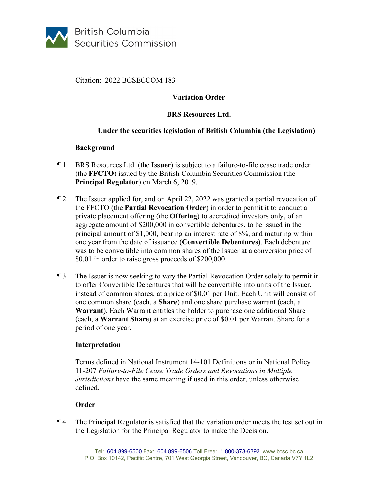

Citation: 2022 BCSECCOM 183

# **Variation Order**

### **BRS Resources Ltd.**

## **Under the securities legislation of British Columbia (the Legislation)**

#### **Background**

- ¶ 1 BRS Resources Ltd. (the **Issuer**) is subject to a failure-to-file cease trade order (the **FFCTO**) issued by the British Columbia Securities Commission (the **Principal Regulator**) on March 6, 2019.
- ¶ 2 The Issuer applied for, and on April 22, 2022 was granted a partial revocation of the FFCTO (the **Partial Revocation Order**) in order to permit it to conduct a private placement offering (the **Offering**) to accredited investors only, of an aggregate amount of \$200,000 in convertible debentures, to be issued in the principal amount of \$1,000, bearing an interest rate of 8%, and maturing within one year from the date of issuance (**Convertible Debentures**). Each debenture was to be convertible into common shares of the Issuer at a conversion price of \$0.01 in order to raise gross proceeds of \$200,000.
- ¶ 3 The Issuer is now seeking to vary the Partial Revocation Order solely to permit it to offer Convertible Debentures that will be convertible into units of the Issuer, instead of common shares, at a price of \$0.01 per Unit. Each Unit will consist of one common share (each, a **Share**) and one share purchase warrant (each, a **Warrant**). Each Warrant entitles the holder to purchase one additional Share (each, a **Warrant Share**) at an exercise price of \$0.01 per Warrant Share for a period of one year.

#### **Interpretation**

Terms defined in National Instrument 14-101 Definitions or in National Policy 11-207 *Failure-to-File Cease Trade Orders and Revocations in Multiple Jurisdictions* have the same meaning if used in this order, unless otherwise defined.

#### **Order**

¶ 4 The Principal Regulator is satisfied that the variation order meets the test set out in the Legislation for the Principal Regulator to make the Decision.